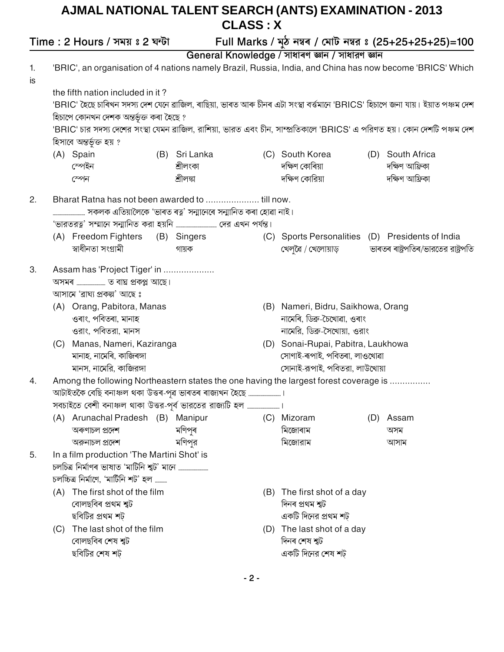## AJMAL NATIONAL TALENT SEARCH (ANTS) EXAMINATION - 2013 **CLASS: X**

Full Marks / মুঠ নম্বৰ / মোট নম্বর ঃ (25+25+25+25)=100 Time: 2 Hours / সময় ঃ 2 ঘন্টা General Knowledge / সাধাৰণ জ্ঞান / সাধারণ জ্ঞান 'BRIC', an organisation of 4 nations namely Brazil, Russia, India, and China has now become 'BRICS' Which  $1.$ is the fifth nation included in it? 'BRIC' হৈছে চাৰিখন সদস্য দেশ যেনে ৱাজিল, ৰাছিয়া, ভাৰত আৰু চীনৰ এটা সংস্থা বৰ্ত্তমানে 'BRICS' হিচাপে জনা যায়। ইয়াত পঞ্চম দেশ হিচাপে কোনখন দেশক অন্তৰ্ভুক্ত কৰা হৈছে ? 'BRIC' চার সদস্য দেশের সংস্থা যেমন ব্রাজিল, রাশিয়া, ভারত এবং চীন, সাম্প্রতিকালে 'BRICS' এ পরিণত হয়। কোন দেশটি পঞ্চম দেশ হিসাবে অন্তর্ভূক্ত হয় ? (A) Spain (B) Sri Lanka (C) South Korea (D) South Africa স্পেইন দক্ষিণ কোৰিয়া দক্ষিণ আফ্ৰিকা শ্ৰীলংকা দক্ষিণ কোরিয়া দক্ষিণ আফ্ৰিকা শীলঙ্কা স্পেন Bharat Ratna has not been awarded to ...................... till now.  $2.$ ............ সকলক এতিয়ালৈকে 'ভাৰত ৰত্ন' সন্মানেৰে সন্মানিত কৰা হোৱা নাই। (A) Freedom Fighters (B) Singers (C) Sports Personalities (D) Presidents of India স্বাধীনতা সংগ্ৰামী ভাৰতৰ ৰাষ্ট্ৰপতিৰ/ভারতের রাষ্ট্ৰপতি গায়ক খেলুৱৈ / খেলোয়াড় Assam has 'Project Tiger' in .................... 3. অসমৰ ........................ ত বাঘ প্ৰকপ্প আছে। আসামে 'ব্ৰাঘ্য প্ৰকল্প' আছে ঃ (B) Nameri, Bidru, Saikhowa, Orang (A) Orang, Pabitora, Manas ওৰাং, পবিতৰা, মানাহ নামেৰি, ডিব্ৰু-চৈখোৱা, ওৰাং ওরাং, পবিতরা, মানস নামেরি, ডিব্রু-সৈথোয়া, ওরাং (C) Manas, Nameri, Kaziranga (D) Sonai-Rupai, Pabitra, Laukhowa মানাহ, নামেৰি, কাজিৰঙ্গা সোণাই-ৰূপাই, পবিতৰা, লাওখোৱা মানস, নামেরি, কাজিরঙ্গা সোনাই-রূপাই, পবিতরা, লাউখোয়া Among the following Northeastern states the one having the largest forest coverage is ...............  $\overline{4}$ . (A) Arunachal Pradesh (B) Manipur (C) Mizoram (D) Assam অৰুণাচল প্ৰদেশ মণিপৰ মিজোৰাম অসম মণিপুর মিজোরাম অরুনাচল প্রদেশ আসাম In a film production 'The Martini Shot' is  $5.$ চলচ্চিত্র নির্মাণে, 'মার্টিনি শট' হল ......... (A) The first shot of the film (B) The first shot of a day বোলছবিৰ প্ৰথম শ্বট দিনৰ প্ৰথম শ্বট ছবিটির প্রথম শট় একটি দিনের প্রথম শট (C) The last shot of the film (D) The last shot of a day বোলছবিৰ শেষ শ্মট দিনৰ শেষ শ্বট ছবিটির শেষ শট একটি দিনের শেষ শট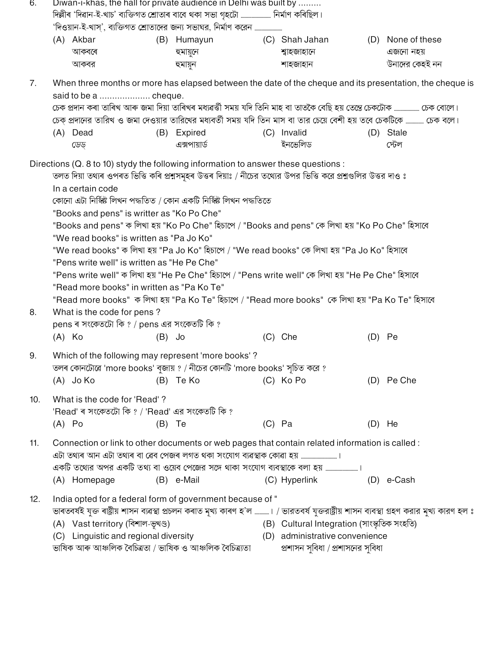| 6.  |                                                                                                                                                                                                                                              | Diwan-i-khas, the hall for private audience in Delhi was built by                                                                           |                                                                                                                                                                                                                                                                     |  |                   |  |  |  |  |  |  |  |  |  |
|-----|----------------------------------------------------------------------------------------------------------------------------------------------------------------------------------------------------------------------------------------------|---------------------------------------------------------------------------------------------------------------------------------------------|---------------------------------------------------------------------------------------------------------------------------------------------------------------------------------------------------------------------------------------------------------------------|--|-------------------|--|--|--|--|--|--|--|--|--|
|     | দিল্লীৰ 'দিৱান-ই-খাচ' ব্যক্তিগত শ্ৰোতাৰ বাবে থকা সভা গৃহটো …………………… নিৰ্মাণ কৰিছিল।<br>'দিওয়ান-ই-খাস্', ব্যক্তিগত শ্রোতাদের জন্য সভাঘর, নির্মাণ করেন                                                                                        |                                                                                                                                             |                                                                                                                                                                                                                                                                     |  |                   |  |  |  |  |  |  |  |  |  |
|     | (A) Akbar                                                                                                                                                                                                                                    | (B) Humayun                                                                                                                                 | (C) Shah Jahan                                                                                                                                                                                                                                                      |  | (D) None of these |  |  |  |  |  |  |  |  |  |
|     | আকবৰে                                                                                                                                                                                                                                        | হুমায়ুনে                                                                                                                                   | শ্বাহজাহানে                                                                                                                                                                                                                                                         |  | এজনো নহয়         |  |  |  |  |  |  |  |  |  |
|     | আকবর                                                                                                                                                                                                                                         | হুমায়ুন                                                                                                                                    | শাহজাহান                                                                                                                                                                                                                                                            |  | উনাদের কেহই নন    |  |  |  |  |  |  |  |  |  |
|     |                                                                                                                                                                                                                                              |                                                                                                                                             |                                                                                                                                                                                                                                                                     |  |                   |  |  |  |  |  |  |  |  |  |
| 7.  |                                                                                                                                                                                                                                              |                                                                                                                                             | When three months or more has elapsed between the date of the cheque and its presentation, the cheque is                                                                                                                                                            |  |                   |  |  |  |  |  |  |  |  |  |
|     |                                                                                                                                                                                                                                              |                                                                                                                                             |                                                                                                                                                                                                                                                                     |  |                   |  |  |  |  |  |  |  |  |  |
|     | চেক প্ৰদান কৰা তাৰিখ আৰু জমা দিয়া তাৰিখৰ মধ্যৱৰ্ত্তী সময় যদি তিনি মাহ বা তাতকৈ বেছি হয় তেন্তে চেকটোক ……………… চেক বোলে।<br>চেক্ প্রদানের তারিখ ও জমা দেওয়ার তারিখের মধ্যবর্তী সময় যদি তিন মাস বা তার চেয়ে বেশী হয় তবে চেকটিকে  চেক বলে। |                                                                                                                                             |                                                                                                                                                                                                                                                                     |  |                   |  |  |  |  |  |  |  |  |  |
|     |                                                                                                                                                                                                                                              |                                                                                                                                             |                                                                                                                                                                                                                                                                     |  |                   |  |  |  |  |  |  |  |  |  |
|     | (A) Dead                                                                                                                                                                                                                                     | (B) Expired                                                                                                                                 | (C) Invalid                                                                                                                                                                                                                                                         |  | (D) Stale         |  |  |  |  |  |  |  |  |  |
|     | ডেড্                                                                                                                                                                                                                                         | এক্সপায়ার্ড                                                                                                                                | ইনভেলিড                                                                                                                                                                                                                                                             |  | স্টেল             |  |  |  |  |  |  |  |  |  |
|     | In a certain code                                                                                                                                                                                                                            | কোনো এটা নিৰ্স্কিষ্ট লিখন পদ্ধতিত / কোন একটি নিৰ্স্কিষ্ট লিখন পদ্ধতিতে<br>"Books and pens" is writter as "Ko Po Che"                        | Directions (Q. 8 to 10) stydy the following information to answer these questions :<br>তলত দিয়া তথ্যৰ ওপৰত ভিত্তি কৰি প্ৰশ্নসমূহৰ উত্তৰ দিয়াঃ / নীচের তথ্যের উপর ভিত্তি করে প্রশ্নগুলির উত্তর দাও ঃ                                                               |  |                   |  |  |  |  |  |  |  |  |  |
|     | "Books and pens" ক লিখা হয় "Ko Po Che" হিচাপে / "Books and pens" কে লিখা হয় "Ko Po Che" হিসাবে<br>"We read books" is written as "Pa Jo Ko"                                                                                                 |                                                                                                                                             |                                                                                                                                                                                                                                                                     |  |                   |  |  |  |  |  |  |  |  |  |
|     | "We read books" ক লিখা হয় "Pa Jo Ko" হিচাপে / "We read books" কে লিখা হয় "Pa Jo Ko" হিসাবে                                                                                                                                                 |                                                                                                                                             |                                                                                                                                                                                                                                                                     |  |                   |  |  |  |  |  |  |  |  |  |
|     | "Pens write well" is written as "He Pe Che"                                                                                                                                                                                                  |                                                                                                                                             |                                                                                                                                                                                                                                                                     |  |                   |  |  |  |  |  |  |  |  |  |
|     | "Pens write well" ক লিখা হয় "He Pe Che" হিচাপে / "Pens write well" কে লিখা হয় "He Pe Che" হিসাবে                                                                                                                                           |                                                                                                                                             |                                                                                                                                                                                                                                                                     |  |                   |  |  |  |  |  |  |  |  |  |
|     |                                                                                                                                                                                                                                              | "Read more books" in written as "Pa Ko Te"                                                                                                  |                                                                                                                                                                                                                                                                     |  |                   |  |  |  |  |  |  |  |  |  |
|     |                                                                                                                                                                                                                                              |                                                                                                                                             | "Read more books" ক লিখা হয় "Pa Ko Te" হিচাপে / "Read more books" কে লিখা হয় "Pa Ko Te" হিসাবে                                                                                                                                                                    |  |                   |  |  |  |  |  |  |  |  |  |
| 8.  | What is the code for pens?                                                                                                                                                                                                                   |                                                                                                                                             |                                                                                                                                                                                                                                                                     |  |                   |  |  |  |  |  |  |  |  |  |
|     |                                                                                                                                                                                                                                              | pens ৰ সংকেতটো কি ? / pens এর সংকেতটি কি ?                                                                                                  |                                                                                                                                                                                                                                                                     |  |                   |  |  |  |  |  |  |  |  |  |
|     | $(A)$ Ko                                                                                                                                                                                                                                     | $(B)$ Jo                                                                                                                                    | (C) Che                                                                                                                                                                                                                                                             |  | $(D)$ Pe          |  |  |  |  |  |  |  |  |  |
| 9.  | $(A)$ Jo Ko                                                                                                                                                                                                                                  | Which of the following may represent 'more books'?<br>তলৰ কোনটোৱে 'more books' বুজায় ? / নীচের কোনটি 'more books' সূচিত করে ?<br>(B) Te Ko | (C) Ko Po                                                                                                                                                                                                                                                           |  | (D) Pe Che        |  |  |  |  |  |  |  |  |  |
| 10. | What is the code for 'Read'?                                                                                                                                                                                                                 |                                                                                                                                             |                                                                                                                                                                                                                                                                     |  |                   |  |  |  |  |  |  |  |  |  |
|     |                                                                                                                                                                                                                                              | 'Read' ৰ সংকেতটো কি ? / 'Read' এর সংকেতটি কি ?                                                                                              |                                                                                                                                                                                                                                                                     |  |                   |  |  |  |  |  |  |  |  |  |
|     | $(A)$ Po                                                                                                                                                                                                                                     | $(B)$ Te                                                                                                                                    | $(C)$ Pa                                                                                                                                                                                                                                                            |  | $(D)$ He          |  |  |  |  |  |  |  |  |  |
| 11. |                                                                                                                                                                                                                                              | এটা তথ্যৰ আন এটা তথ্যৰ বা ৱেব পেজৰ লগত থকা সংযোগ ব্যৱস্থাক কোৱা হয়                                                                         | Connection or link to other documents or web pages that contain related information is called :<br>একটি তথ্যের অপর একটি তথ্য বা ওয়েব পেজের সঙ্গে থাকা সংযোগ ব্যবস্থাকে বলা হয়                                                                                     |  |                   |  |  |  |  |  |  |  |  |  |
|     | (A) Homepage                                                                                                                                                                                                                                 | (B) e-Mail                                                                                                                                  | (C) Hyperlink                                                                                                                                                                                                                                                       |  | $(D)$ e-Cash      |  |  |  |  |  |  |  |  |  |
| 12. | (A) Vast territory (বিশাল-ভূখণ্ড)<br>(C) Linguistic and regional diversity                                                                                                                                                                   | India opted for a federal form of government because of "<br>ভাষিক আৰু আঞ্চলিক বৈচিত্ৰতা / ভাষিক ও আঞ্চলিক বৈচিত্ৰ্যতা                      | ভাৰতবৰ্ষই যুক্ত ৰাষ্ট্ৰীয় শাসন ব্যৱস্থা প্ৰচলন কৰাত মূখ্য কাৰণ হ'ল ……….। / ভারতবৰ্ষ যুক্তরাষ্ট্ৰীয় শাসন ব্যবস্থা গ্ৰহণ করার মুখ্য কারণ হল ঃ<br>(B) Cultural Integration (সাংস্কৃতিক সংহতি)<br>(D) administrative convenience<br>প্রশাসন সুবিধা / প্রশাসনের সুবিধা |  |                   |  |  |  |  |  |  |  |  |  |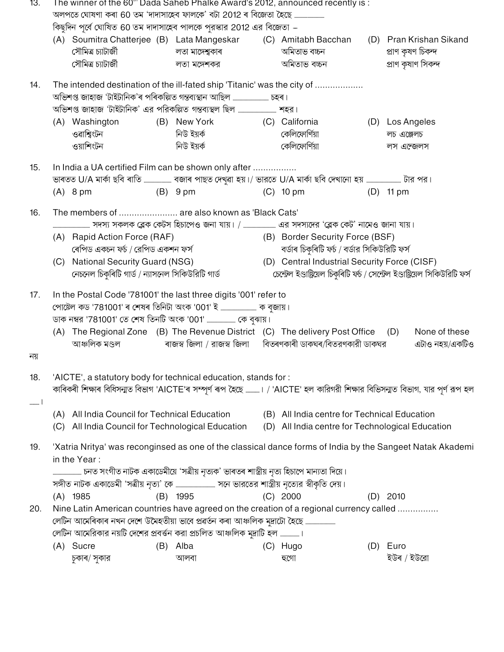| 13.  |                                                                                                                           |                                                                                       |  | The winner of the 60"' Dada Saheb Phalke Award's 2012, announced recently is :<br>অলপতে ঘোষণা কৰা 60 তম 'দাদাসাহেব ফালকে' বটা 2012 ৰ বিজেতা হৈছে |  |                                                                                                                                |     |                    |                         |  |  |  |
|------|---------------------------------------------------------------------------------------------------------------------------|---------------------------------------------------------------------------------------|--|--------------------------------------------------------------------------------------------------------------------------------------------------|--|--------------------------------------------------------------------------------------------------------------------------------|-----|--------------------|-------------------------|--|--|--|
|      |                                                                                                                           |                                                                                       |  | কিছুদিন পূর্বে ঘোষিত 60 তম দাদাসাহেব পালকে পুরস্কার 2012 এর বিজেতা –                                                                             |  |                                                                                                                                |     |                    |                         |  |  |  |
|      |                                                                                                                           |                                                                                       |  | (A) Soumitra Chatterjee (B) Lata Mangeskar (C) Amitabh Bacchan                                                                                   |  |                                                                                                                                |     |                    | (D) Pran Krishan Sikand |  |  |  |
|      |                                                                                                                           | সৌমিত্ৰ চ্যাটাৰ্জী                                                                    |  | লতা মাঙ্গেশ্বকাৰ                                                                                                                                 |  | অমিতাভ বচ্চন                                                                                                                   |     | প্ৰাণ কৃষণ চিকন্দ  |                         |  |  |  |
|      |                                                                                                                           | সৌমিত্ৰ চ্যাটাৰ্জী                                                                    |  | লতা মঙ্গেশকর                                                                                                                                     |  | অমিতাভ বচ্চন                                                                                                                   |     | প্ৰাণ কৃষাণ সিকন্দ |                         |  |  |  |
| 14.  |                                                                                                                           |                                                                                       |  | The intended destination of the ill-fated ship 'Titanic' was the city of                                                                         |  |                                                                                                                                |     |                    |                         |  |  |  |
|      |                                                                                                                           |                                                                                       |  |                                                                                                                                                  |  |                                                                                                                                |     |                    |                         |  |  |  |
|      |                                                                                                                           |                                                                                       |  |                                                                                                                                                  |  |                                                                                                                                |     |                    |                         |  |  |  |
|      |                                                                                                                           | (A) Washington                                                                        |  | (B) New York                                                                                                                                     |  | (C) California                                                                                                                 |     | (D) Los Angeles    |                         |  |  |  |
|      |                                                                                                                           | ওৱাশ্বিংটন                                                                            |  | নিউ ইয়র্ক                                                                                                                                       |  | কেলিফোর্ণিয়া                                                                                                                  |     | লচ এঞ্জেলচ         |                         |  |  |  |
|      |                                                                                                                           | ওয়াশিংটন                                                                             |  | নিউ ইয়র্ক                                                                                                                                       |  | কেলিফোর্ণিয়া                                                                                                                  |     | লস এন্জেলস         |                         |  |  |  |
| 15.  |                                                                                                                           |                                                                                       |  | In India a UA certified Film can be shown only after                                                                                             |  |                                                                                                                                |     |                    |                         |  |  |  |
|      |                                                                                                                           |                                                                                       |  | ভাৰতত U/A মাৰ্কা ছবি ৰাতি ………………… বজাৰ পাছত দেখুৱা হয়।/ ভারতে U/A মাৰ্কা ছবি দেখানো হয় ……………………… টার পর।                                       |  |                                                                                                                                |     |                    |                         |  |  |  |
|      |                                                                                                                           | $(A)$ 8 pm                                                                            |  | (B) 9 pm                                                                                                                                         |  | $(C)$ 10 pm                                                                                                                    |     | $(D)$ 11 pm        |                         |  |  |  |
| 16.  |                                                                                                                           |                                                                                       |  | The members of  are also known as 'Black Cats'                                                                                                   |  |                                                                                                                                |     |                    |                         |  |  |  |
|      |                                                                                                                           |                                                                                       |  |                                                                                                                                                  |  |                                                                                                                                |     |                    |                         |  |  |  |
|      |                                                                                                                           | (A) Rapid Action Force (RAF)<br>ৰেপিড একচন ফৰ্চ / রেপিড একশন ফর্স                     |  |                                                                                                                                                  |  | (B) Border Security Force (BSF)                                                                                                |     |                    |                         |  |  |  |
|      |                                                                                                                           |                                                                                       |  |                                                                                                                                                  |  | বৰ্ডাৰ চিকুৰিটি ফৰ্চ / বৰ্ডার সিকিউরিটি ফর্স                                                                                   |     |                    |                         |  |  |  |
|      |                                                                                                                           | (C) National Security Guard (NSG)<br>নেচনেল চিকুৰিটি গাৰ্ড / ন্যাসনেল সিকিউরিটি গাৰ্ড |  |                                                                                                                                                  |  | (D) Central Industrial Security Force (CISF)<br>চেন্টেল ইণ্ডাষ্ট্ৰিয়েল চিকুৰিটি ফৰ্চ / সেন্টেল ইণ্ডাষ্ট্ৰিয়েল সিকিউরিটি ফর্স |     |                    |                         |  |  |  |
| 17.  |                                                                                                                           |                                                                                       |  | In the Postal Code '781001' the last three digits '001' refer to                                                                                 |  |                                                                                                                                |     |                    |                         |  |  |  |
|      |                                                                                                                           |                                                                                       |  | পোষ্টেল কড '781001' ৰ শেষৰ তিনিটা অংক '001' ই  ক বুজায়।                                                                                         |  |                                                                                                                                |     |                    |                         |  |  |  |
|      |                                                                                                                           |                                                                                       |  | ডাক নম্বর '781001' তে শেষ তিনটি অংক '001'  কে বুঝায়।                                                                                            |  |                                                                                                                                |     |                    |                         |  |  |  |
|      |                                                                                                                           |                                                                                       |  | (A) The Regional Zone (B) The Revenue District (C) The delivery Post Office (D)                                                                  |  |                                                                                                                                |     |                    | None of these           |  |  |  |
|      |                                                                                                                           | আঞ্চলিক মণ্ডল                                                                         |  | ৰাজস্ব জিলা / রাজস্ব জিলা      বিতৰণকাৰী ডাকঘৰ/বিতরণকারী ডাকঘর                                                                                   |  |                                                                                                                                |     |                    | এটাও নহয়/একটিও         |  |  |  |
| নয়  |                                                                                                                           |                                                                                       |  |                                                                                                                                                  |  |                                                                                                                                |     |                    |                         |  |  |  |
| 18.  |                                                                                                                           |                                                                                       |  | 'AICTE', a statutory body for technical education, stands for :                                                                                  |  |                                                                                                                                |     |                    |                         |  |  |  |
|      |                                                                                                                           |                                                                                       |  | কাৰিকৰী শিক্ষাৰ বিধিসন্মত বিভাগ 'AICTE'ৰ সম্পূৰ্ণ ৰূপ হৈছে ……….। / 'AICTE' হল কারিগরী শিক্ষার বিভিসন্মত বিভাগ, যার পূর্ণ রূপ হল                  |  |                                                                                                                                |     |                    |                         |  |  |  |
| ا  ا |                                                                                                                           | (A) All India Council for Technical Education                                         |  |                                                                                                                                                  |  | (B) All India centre for Technical Education                                                                                   |     |                    |                         |  |  |  |
|      | (C)                                                                                                                       | All India Council for Technological Education                                         |  |                                                                                                                                                  |  | (D) All India centre for Technological Education                                                                               |     |                    |                         |  |  |  |
| 19.  |                                                                                                                           |                                                                                       |  |                                                                                                                                                  |  |                                                                                                                                |     |                    |                         |  |  |  |
|      | 'Xatria Nritya' was reconginsed as one of the classical dance forms of India by the Sangeet Natak Akademi<br>in the Year: |                                                                                       |  |                                                                                                                                                  |  |                                                                                                                                |     |                    |                         |  |  |  |
|      |                                                                                                                           |                                                                                       |  | চনত সংগীত নাটক একাডেমীয়ে 'সত্ৰীয় নৃত্যক' ভাৰতৰ শাস্ত্ৰীয় নৃত্য হিচাপে মান্যতা দিয়ে।                                                          |  |                                                                                                                                |     |                    |                         |  |  |  |
|      |                                                                                                                           |                                                                                       |  |                                                                                                                                                  |  |                                                                                                                                |     |                    |                         |  |  |  |
|      |                                                                                                                           | $(A)$ 1985                                                                            |  | (B) 1995                                                                                                                                         |  | $(C)$ 2000                                                                                                                     |     | $(D)$ 2010         |                         |  |  |  |
| 20.  |                                                                                                                           |                                                                                       |  | Nine Latin American countries have agreed on the creation of a regional currency called                                                          |  |                                                                                                                                |     |                    |                         |  |  |  |
|      |                                                                                                                           |                                                                                       |  | লেটিন আমেৰিকাৰ নখন দেশে উমৈহতীয়া ভাবে প্ৰৱৰ্তন কৰা আঞ্চলিক মুদ্ৰাটো হৈছে ……………………                                                               |  |                                                                                                                                |     |                    |                         |  |  |  |
|      |                                                                                                                           |                                                                                       |  | লেটিন আমেরিকার নয়টি দেশের প্রবর্তন করা প্রচলিত আঞ্চলিক মুদ্রাটি হল ।                                                                            |  |                                                                                                                                |     |                    |                         |  |  |  |
|      |                                                                                                                           | (A) Sucre                                                                             |  | (B) Alba                                                                                                                                         |  | (C) Hugo                                                                                                                       | (D) | Euro               |                         |  |  |  |
|      |                                                                                                                           | চুকাৰ/ সুকার                                                                          |  | আলবা                                                                                                                                             |  | হুগো                                                                                                                           |     | ইউৰ / ইউরো         |                         |  |  |  |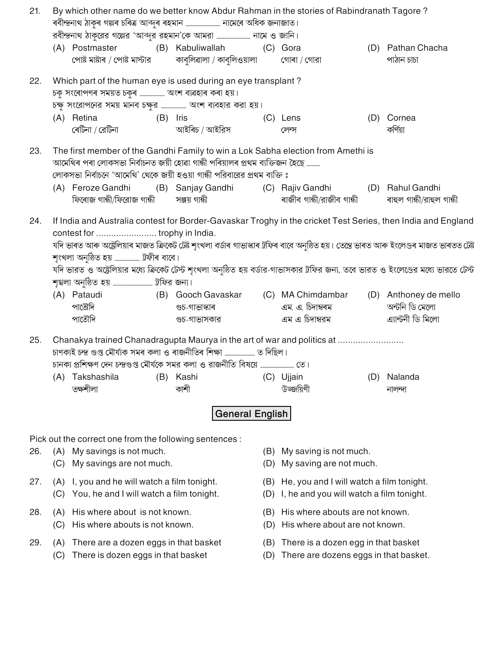| By which other name do we better know Abdur Rahman in the stories of Rabindranath Tagore?<br>21.<br>ৰবীন্দ্ৰনাথ ঠাকুৰ গল্পৰ চৰিত্ৰ আব্দুৰ ৰহমান  নামেৰে অধিক জনাজাত। |                                                                                                                                      |                                                                                                                                           |          |                                                                                                                                                                     |            |                                                                                      |     |                                                                                                              |  |  |  |  |  |
|----------------------------------------------------------------------------------------------------------------------------------------------------------------------|--------------------------------------------------------------------------------------------------------------------------------------|-------------------------------------------------------------------------------------------------------------------------------------------|----------|---------------------------------------------------------------------------------------------------------------------------------------------------------------------|------------|--------------------------------------------------------------------------------------|-----|--------------------------------------------------------------------------------------------------------------|--|--|--|--|--|
|                                                                                                                                                                      |                                                                                                                                      |                                                                                                                                           |          |                                                                                                                                                                     |            |                                                                                      |     |                                                                                                              |  |  |  |  |  |
|                                                                                                                                                                      |                                                                                                                                      | (A) Postmaster                                                                                                                            |          | (B) Kabuliwallah (C) Gora                                                                                                                                           |            |                                                                                      |     | (D) Pathan Chacha                                                                                            |  |  |  |  |  |
|                                                                                                                                                                      |                                                                                                                                      | পোষ্ট মাষ্টাৰ / পোষ্ট মার্স্টার                                                                                                           |          | কাবুলিৱালা / কাবুলিওয়ালা                                                                                                                                           |            | গোৰা / গোরা                                                                          |     | পাঠান চাচা                                                                                                   |  |  |  |  |  |
| 22.                                                                                                                                                                  |                                                                                                                                      | চকু সংৰোপণৰ সময়ত চকুৰ  অংশ ব্যৱহাৰ কৰা হয়।                                                                                              |          | Which part of the human eye is used during an eye transplant?<br>চক্ষু সংরোপনের সময় মানব চক্ষুর  অংশ ব্যবহার করা হয়।                                              |            |                                                                                      |     |                                                                                                              |  |  |  |  |  |
|                                                                                                                                                                      |                                                                                                                                      | (A) Retina                                                                                                                                | (B) Iris |                                                                                                                                                                     |            | (C) Lens                                                                             |     | (D) Cornea                                                                                                   |  |  |  |  |  |
|                                                                                                                                                                      |                                                                                                                                      | ৰেটিনা / রেটিনা                                                                                                                           |          | আইৰিচ / আইরিস                                                                                                                                                       |            | লেন্স                                                                                |     | কৰ্ণিয়া                                                                                                     |  |  |  |  |  |
| 23.                                                                                                                                                                  |                                                                                                                                      |                                                                                                                                           |          | The first member of the Gandhi Family to win a Lok Sabha election from Amethi is<br>আমেথিৰ পৰা লোকসভা নিৰ্বাচনত জয়ী হোৱা গান্ধী পৰিয়ালৰ প্ৰথম ব্যক্তিজন হৈছে ………. |            |                                                                                      |     |                                                                                                              |  |  |  |  |  |
|                                                                                                                                                                      |                                                                                                                                      |                                                                                                                                           |          | লোকসভা নির্বাচনে 'আমেথি' থেকে জয়ী হওয়া গান্ধী পরিবারের প্রথম ব্যক্তি ঃ                                                                                            |            |                                                                                      |     |                                                                                                              |  |  |  |  |  |
|                                                                                                                                                                      |                                                                                                                                      | (A) Feroze Gandhi<br>ফিৰোজ গান্ধী/ফিরোজ গান্ধী সঞ্জয় গান্ধী                                                                              |          | (B) Sanjay Gandhi                                                                                                                                                   |            | (C) Rajiv Gandhi (D) Rahul Gandhi<br>ৰাজীব গান্ধী/রাজীব গান্ধী                       |     | ৰাহুল গান্ধী/রাহুল গান্ধী                                                                                    |  |  |  |  |  |
| 24.                                                                                                                                                                  |                                                                                                                                      |                                                                                                                                           |          |                                                                                                                                                                     |            |                                                                                      |     | If India and Australia contest for Border-Gavaskar Troghy in the cricket Test Series, then India and England |  |  |  |  |  |
|                                                                                                                                                                      |                                                                                                                                      | যদি ভাৰত আৰু অষ্ট্ৰেলিয়াৰ মাজত ক্ৰিকেট টেষ্ট শৃংখলা বৰ্ডাৰ গাভাস্কাৰ ট্ৰফিৰ বাবে অনুষ্ঠিত হয়। তেন্তে ভাৰত আৰু ইংলেণ্ডৰ মাজত ভাৰতত টেষ্ট |          |                                                                                                                                                                     |            |                                                                                      |     |                                                                                                              |  |  |  |  |  |
|                                                                                                                                                                      |                                                                                                                                      | শৃংখলা অনুষ্ঠিত হয়  ট্ৰফীৰ বাবে।                                                                                                         |          |                                                                                                                                                                     |            |                                                                                      |     |                                                                                                              |  |  |  |  |  |
|                                                                                                                                                                      | যদি ভারত ও অষ্ট্রেলিয়ার মধ্যে ক্রিকেট টেস্ট শৃংখলা অনুষ্ঠিত হয় বর্ডার-গাভাসকার ট্রফির জন্য, তবে ভারত ও ইংলেণ্ডের মধ্যে ভারতে টেস্ট |                                                                                                                                           |          |                                                                                                                                                                     |            |                                                                                      |     |                                                                                                              |  |  |  |  |  |
|                                                                                                                                                                      |                                                                                                                                      |                                                                                                                                           |          |                                                                                                                                                                     |            |                                                                                      |     |                                                                                                              |  |  |  |  |  |
|                                                                                                                                                                      |                                                                                                                                      | (A) Pataudi                                                                                                                               |          | (B) Gooch Gavaskar                                                                                                                                                  |            | (C) MA Chimdambar                                                                    |     | (D) Anthoney de mello                                                                                        |  |  |  |  |  |
|                                                                                                                                                                      |                                                                                                                                      | পাতৌদি                                                                                                                                    |          | গুচ-গাভাস্কাৰ                                                                                                                                                       |            | এম. এ. চিদাম্বৰম                                                                     |     | অন্টনি ডি মেলো                                                                                               |  |  |  |  |  |
|                                                                                                                                                                      |                                                                                                                                      | পাতৌদি                                                                                                                                    |          | গুচ-গাভাসকার                                                                                                                                                        |            | এম এ চিদাম্বরম                                                                       |     | এ্যান্টনী ডি মিলো                                                                                            |  |  |  |  |  |
| 25.                                                                                                                                                                  |                                                                                                                                      |                                                                                                                                           |          | Chanakya trained Chanadragupta Maurya in the art of war and politics at                                                                                             |            |                                                                                      |     |                                                                                                              |  |  |  |  |  |
|                                                                                                                                                                      |                                                                                                                                      |                                                                                                                                           |          |                                                                                                                                                                     |            |                                                                                      |     |                                                                                                              |  |  |  |  |  |
|                                                                                                                                                                      |                                                                                                                                      |                                                                                                                                           |          |                                                                                                                                                                     |            |                                                                                      |     |                                                                                                              |  |  |  |  |  |
|                                                                                                                                                                      | (A)                                                                                                                                  | Takshashila                                                                                                                               | (B)      | Kashi                                                                                                                                                               | (C)        | Ujjain                                                                               | (D) | Nalanda                                                                                                      |  |  |  |  |  |
|                                                                                                                                                                      |                                                                                                                                      | তক্ষশীলা                                                                                                                                  |          | কাশী                                                                                                                                                                |            | উড্জয়িণী                                                                            |     | নালন্দা                                                                                                      |  |  |  |  |  |
|                                                                                                                                                                      |                                                                                                                                      |                                                                                                                                           |          | <b>General English</b>                                                                                                                                              |            |                                                                                      |     |                                                                                                              |  |  |  |  |  |
|                                                                                                                                                                      |                                                                                                                                      | Pick out the correct one from the following sentences :                                                                                   |          |                                                                                                                                                                     |            |                                                                                      |     |                                                                                                              |  |  |  |  |  |
| 26.                                                                                                                                                                  |                                                                                                                                      | (A) My savings is not much.                                                                                                               |          |                                                                                                                                                                     | (B)        | My saving is not much.                                                               |     |                                                                                                              |  |  |  |  |  |
|                                                                                                                                                                      | (C)                                                                                                                                  | My savings are not much.                                                                                                                  |          |                                                                                                                                                                     | (D)        | My saving are not much.                                                              |     |                                                                                                              |  |  |  |  |  |
| 27.                                                                                                                                                                  | (A)<br>(C)                                                                                                                           | I, you and he will watch a film tonight.<br>You, he and I will watch a film tonight.                                                      |          |                                                                                                                                                                     | (B)<br>(D) | He, you and I will watch a film tonight.<br>I, he and you will watch a film tonight. |     |                                                                                                              |  |  |  |  |  |
| 28.                                                                                                                                                                  | (A)<br>(C)                                                                                                                           | His where about is not known.<br>His where abouts is not known.                                                                           |          |                                                                                                                                                                     | (B)<br>(D) | His where abouts are not known.<br>His where about are not known.                    |     |                                                                                                              |  |  |  |  |  |
| 29.                                                                                                                                                                  | (A)                                                                                                                                  | There are a dozen eggs in that basket                                                                                                     |          |                                                                                                                                                                     | (B)        | There is a dozen egg in that basket                                                  |     |                                                                                                              |  |  |  |  |  |

- 
- (C) There is dozen eggs in that basket (D) There are dozens eggs in that basket.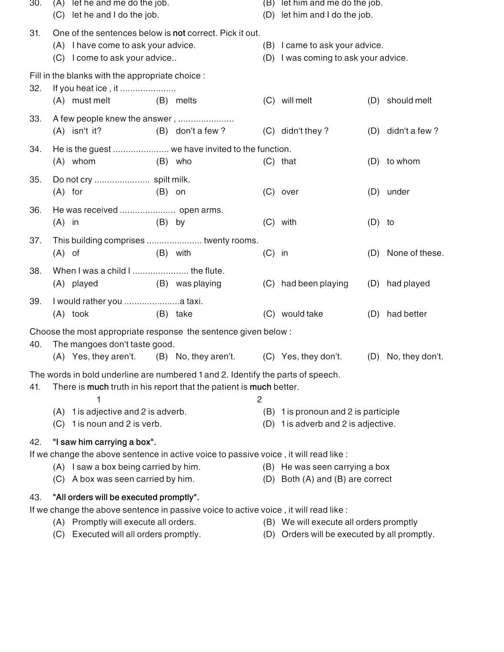| 30. | let he and me do the job.<br>(A)                                                                                                |           |                                                                    |                | (B) let him and me do the job.                                         |          |                     |  |  |
|-----|---------------------------------------------------------------------------------------------------------------------------------|-----------|--------------------------------------------------------------------|----------------|------------------------------------------------------------------------|----------|---------------------|--|--|
|     | (C) let he and I do the job.                                                                                                    |           |                                                                    |                | (D) let him and I do the job.                                          |          |                     |  |  |
| 31. | One of the sentences below is not correct. Pick it out.<br>(A) I have come to ask your advice.<br>(C) I come to ask your advice |           |                                                                    |                | (B) I came to ask your advice.<br>(D) I was coming to ask your advice. |          |                     |  |  |
|     | Fill in the blanks with the appropriate choice :                                                                                |           |                                                                    |                |                                                                        |          |                     |  |  |
| 32. | If you heat ice, it                                                                                                             |           |                                                                    |                |                                                                        |          |                     |  |  |
|     | (A) must melt                                                                                                                   | (B) melts |                                                                    |                | (C) will melt                                                          | (D)      | should melt         |  |  |
| 33. | A few people knew the answer,<br>$(A)$ isn't it?                                                                                |           | (B) don't a few?                                                   |                | (C) didn't they?                                                       |          | (D) didn't a few?   |  |  |
|     |                                                                                                                                 |           |                                                                    |                |                                                                        |          |                     |  |  |
| 34. | $(A)$ whom                                                                                                                      | (B) who   | He is the guest  we have invited to the function.                  |                | $(C)$ that                                                             | (D)      | to whom             |  |  |
|     |                                                                                                                                 |           |                                                                    |                |                                                                        |          |                     |  |  |
| 35. | $(A)$ for                                                                                                                       | $(B)$ on  |                                                                    |                | $(C)$ over                                                             |          | (D) under           |  |  |
| 36. |                                                                                                                                 |           |                                                                    |                |                                                                        |          |                     |  |  |
|     | $(A)$ in                                                                                                                        | $(B)$ by  |                                                                    |                | $(C)$ with                                                             | $(D)$ to |                     |  |  |
| 37. | This building comprises  twenty rooms.                                                                                          |           |                                                                    |                |                                                                        |          |                     |  |  |
|     | $(A)$ of                                                                                                                        |           | $(B)$ with                                                         | $(C)$ in       |                                                                        | (D)      | None of these.      |  |  |
| 38. | When I was a child I  the flute.                                                                                                |           |                                                                    |                |                                                                        |          |                     |  |  |
|     | (A) played                                                                                                                      |           | (B) was playing                                                    |                | (C) had been playing                                                   |          | (D) had played      |  |  |
| 39. |                                                                                                                                 |           |                                                                    |                |                                                                        |          |                     |  |  |
|     | $(A)$ took                                                                                                                      |           | (B) take                                                           |                | (C) would take                                                         | (D)      | had better          |  |  |
|     | Choose the most appropriate response the sentence given below:                                                                  |           |                                                                    |                |                                                                        |          |                     |  |  |
| 40. | The mangoes don't taste good.                                                                                                   |           |                                                                    |                | (C) Yes, they don't.                                                   |          |                     |  |  |
|     | (A) Yes, they aren't. (B) No, they aren't.                                                                                      |           |                                                                    |                |                                                                        |          | (D) No, they don't. |  |  |
| 41. | The words in bold underline are numbered 1 and 2. Identify the parts of speech.                                                 |           | There is much truth in his report that the patient is much better. |                |                                                                        |          |                     |  |  |
|     | 1<br>1 is adjective and 2 is adverb.<br>(A)                                                                                     |           |                                                                    | $\overline{c}$ | (B) 1 is pronoun and 2 is participle                                   |          |                     |  |  |
|     | 1 is noun and 2 is verb.<br>(C)                                                                                                 |           |                                                                    |                | (D) 1 is adverb and 2 is adjective.                                    |          |                     |  |  |
| 42. | "I saw him carrying a box".                                                                                                     |           |                                                                    |                |                                                                        |          |                     |  |  |
|     | If we change the above sentence in active voice to passive voice, it will read like :                                           |           |                                                                    |                |                                                                        |          |                     |  |  |
|     | (A) I saw a box being carried by him.                                                                                           |           |                                                                    |                | (B) He was seen carrying a box                                         |          |                     |  |  |
|     | (C) A box was seen carried by him.                                                                                              |           |                                                                    |                | (D) Both (A) and (B) are correct                                       |          |                     |  |  |
| 43. | "All orders will be executed promptly".                                                                                         |           |                                                                    |                |                                                                        |          |                     |  |  |
|     | If we change the above sentence in passive voice to active voice, it will read like :                                           |           |                                                                    |                | (B) We will execute all orders promptly                                |          |                     |  |  |
|     | (A) Promptly will execute all orders.<br>Executed will all orders promptly.<br>(C)                                              |           |                                                                    |                | (D) Orders will be executed by all promptly.                           |          |                     |  |  |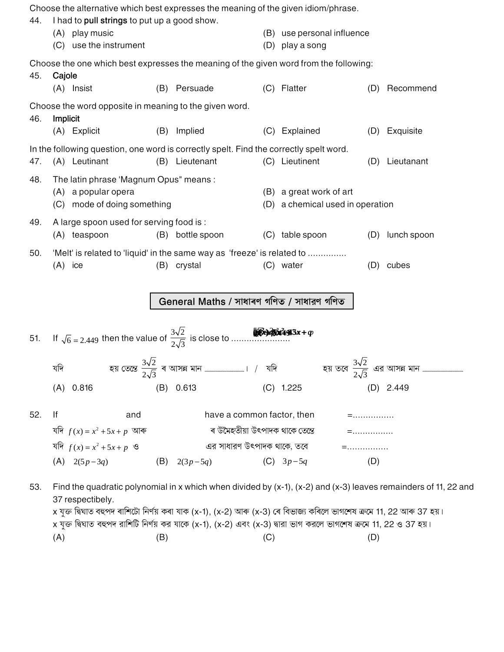Choose the alternative which best expresses the meaning of the given idiom/phrase. 44. I had to pull strings to put up a good show. (B) use personal influence (A) play music (C) use the instrument (D) play a song Choose the one which best expresses the meaning of the given word from the following: 45. Cajole (B) Persuade (C) Flatter (A) Insist (D) Recommend Choose the word opposite in meaning to the given word. Implicit 46. (A) Explicit (B) Implied (C) Explained (D) Exquisite In the following question, one word is correctly spelt. Find the correctly spelt word. 47. (A) Leutinant (B) Lieutenant (C) Lieutinent (D) Lieutanant The latin phrase 'Magnum Opus" means: 48. (B) a great work of art (A) a popular opera (C) mode of doing something (D) a chemical used in operation 49. A large spoon used for serving food is: (A) teaspoon (B) bottle spoon (C) table spoon (D) lunch spoon 50. 'Melt' is related to 'liquid' in the same way as 'freeze' is related to ...............  $(A)$  ice (B) crystal (C) water (D) cubes General Maths / সাধাৰণ গণিত / সাধারণ গণিত 51. যদি  $(A)$  0.816  $(D)$  2.449  $(B) 0.613$  $(C)$  1.225 52. lf have a common factor, then and  $=$  . . . . . . . . . . . . . . . . যদি  $f(x) = x^2 + 5x + p$  আৰু ৰ উমৈহতীয়া উৎপাদক থাকে তেন্তে  $=$ ................ যদি  $f(x) = x^2 + 5x + p$  ও এর সাধারণ উৎপাদক থাকে, তবে  $=$ ................. (A)  $2(5p-3q)$ (B)  $2(3p-5q)$ (C)  $3p-5q$  $(D)$ 

Find the quadratic polynomial in x which when divided by  $(x-1)$ ,  $(x-2)$  and  $(x-3)$  leaves remainders of 11, 22 and 53. 37 respectibely. x যুক্ত দ্বিঘাত বহুপদ ৰাশিটো নিৰ্ণয় কৰা যাক (x-1), (x-2) আৰু (x-3) ৰে বিভাজ্য কৰিলে ভাগশেষ ক্ৰমে 11, 22 আৰু 37 হয়। x যুক্ত দ্বিঘাত বহুপদ রাশিটি নির্ণয় কর যাকে (x-1), (x-2) এবং (x-3) দ্বারা ভাগ করলে ভাগশেষ ক্রমে 11, 22 ও 37 হয়।  $(A)$  $(B)$  $(C)$  $(D)$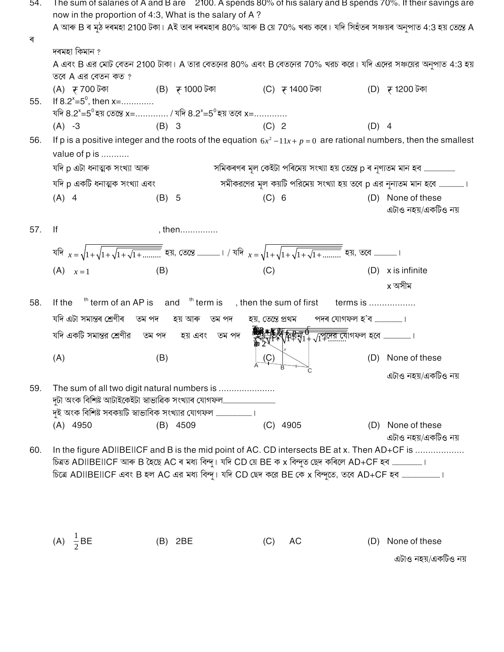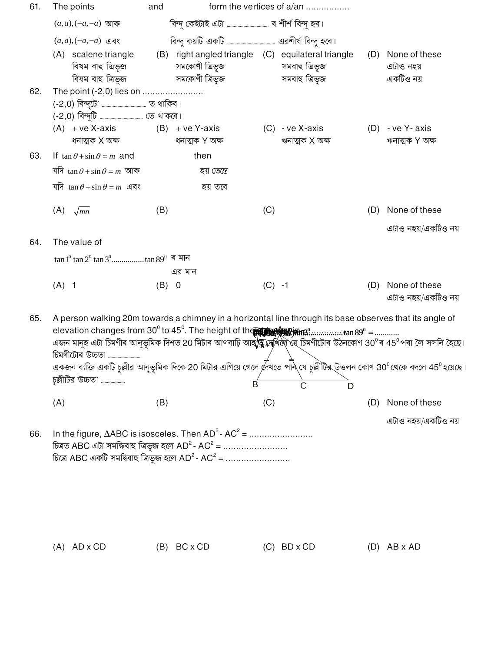| 61. | The points                                                                                                                                                                                                                     | and                              | form the vertices of a/an                                                                                                                                                                                                                                                                                                                                                                                                                                                                                                                    |                                             |
|-----|--------------------------------------------------------------------------------------------------------------------------------------------------------------------------------------------------------------------------------|----------------------------------|----------------------------------------------------------------------------------------------------------------------------------------------------------------------------------------------------------------------------------------------------------------------------------------------------------------------------------------------------------------------------------------------------------------------------------------------------------------------------------------------------------------------------------------------|---------------------------------------------|
|     | $(a,a), (-a,-a)$ আৰু                                                                                                                                                                                                           |                                  |                                                                                                                                                                                                                                                                                                                                                                                                                                                                                                                                              |                                             |
|     | $(a,a), (-a,-a)$ এবং                                                                                                                                                                                                           |                                  |                                                                                                                                                                                                                                                                                                                                                                                                                                                                                                                                              |                                             |
|     | (A) scalene triangle<br>বিষম বাহু ত্ৰিভূজ<br>বিষম বাহু ত্ৰিভূজ                                                                                                                                                                 | সমকোণী ত্রিভূজ<br>সমকোণী ত্রিভূজ | (B) right angled triangle (C) equilateral triangle<br>সমবাহু ত্রিভূজ<br>সমবাহু ত্ৰিভূজ                                                                                                                                                                                                                                                                                                                                                                                                                                                       | (D) None of these<br>এটাও নহয়<br>একটিও নয় |
| 62. | The point (-2,0) lies on                                                                                                                                                                                                       |                                  |                                                                                                                                                                                                                                                                                                                                                                                                                                                                                                                                              |                                             |
|     |                                                                                                                                                                                                                                |                                  |                                                                                                                                                                                                                                                                                                                                                                                                                                                                                                                                              |                                             |
|     | $(A) + ve X-axis$ $(B) + ve Y-axis$<br>ধনাত্মক X অক্ষ                                                                                                                                                                          | ধনাত্মক Y অক্ষ                   | $(C)$ - ve X-axis<br>ঋনাত্মক X অক্ষ                                                                                                                                                                                                                                                                                                                                                                                                                                                                                                          | $(D) - ve Y - axis$<br>ঋনাত্মক Y অক্ষ       |
| 63. | If $\tan \theta + \sin \theta = m$ and                                                                                                                                                                                         | then                             |                                                                                                                                                                                                                                                                                                                                                                                                                                                                                                                                              |                                             |
|     | যদি $\tan \theta + \sin \theta = m$ আৰু                                                                                                                                                                                        | হয় তেন্তে                       |                                                                                                                                                                                                                                                                                                                                                                                                                                                                                                                                              |                                             |
|     | যদি $\tan \theta + \sin \theta = m$ এবং                                                                                                                                                                                        | হয় তবে                          |                                                                                                                                                                                                                                                                                                                                                                                                                                                                                                                                              |                                             |
|     | (A)<br>$\sqrt{mn}$                                                                                                                                                                                                             | (B)                              | (C)<br>(D)                                                                                                                                                                                                                                                                                                                                                                                                                                                                                                                                   | None of these                               |
|     |                                                                                                                                                                                                                                |                                  |                                                                                                                                                                                                                                                                                                                                                                                                                                                                                                                                              | এটাও নহয়/একটিও নয়                         |
| 64. | The value of                                                                                                                                                                                                                   |                                  |                                                                                                                                                                                                                                                                                                                                                                                                                                                                                                                                              |                                             |
|     |                                                                                                                                                                                                                                |                                  |                                                                                                                                                                                                                                                                                                                                                                                                                                                                                                                                              |                                             |
|     |                                                                                                                                                                                                                                | এর মান                           |                                                                                                                                                                                                                                                                                                                                                                                                                                                                                                                                              |                                             |
|     | $(A)$ 1                                                                                                                                                                                                                        | (B)<br>$\overline{0}$            | $(C) -1$<br>(D)                                                                                                                                                                                                                                                                                                                                                                                                                                                                                                                              | None of these<br>এটাও নহয়/একটিও নয়        |
| 65. | চিমণীটোৰ উচ্চতা<br>চুল্লীটির উচ্চতা ………………                                                                                                                                                                                     |                                  | A person walking 20m towards a chimney in a horizontal line through its base observes that its angle of<br>elevation changes from 30 <sup>°</sup> to 45 <sup>°</sup> . The height of the <b>subset of the 10</b> ° to the 10° =<br>এজন মানুহ এটা চিমণীৰ আনুভূমিক দিশত 20 মিটাৰ আগবাঢ়ি আ <b>হাঁক্ক্লদোঁ</b> ধলৈ যে চিমণীটোৰ উঠনকোণ 30 <sup>0</sup> ৰ 45 <sup>0</sup> পৰা লৈ সলনি হৈছে।<br>একজন ব্যক্তি একটি চুল্লীর আনুভূমিক দিকে 20 মিটার এগিয়ে গেলে দেখতে পান্ যে চুল্লীটিষ্ক্উত্তলন কোণ 30 $^0$ থেকে বদলে 45 $^0$ হয়েছে।<br>в<br>C<br>D |                                             |
|     | (A)                                                                                                                                                                                                                            | (B)                              | (C)<br>(D)                                                                                                                                                                                                                                                                                                                                                                                                                                                                                                                                   | None of these                               |
| 66. | In the figure, $\triangle ABC$ is isosceles. Then $AD^2$ - $AC^2$ =<br>চিত্ৰত ABC এটা সমদ্ধিবাহু ত্ৰিভূজ হলে AD <sup>2</sup> - AC <sup>2</sup> =<br>চিত্রে ABC একটি সমদ্বিবাহু ত্রিভূজ হলে AD <sup>2</sup> - AC <sup>2</sup> = |                                  |                                                                                                                                                                                                                                                                                                                                                                                                                                                                                                                                              | এটাও নহয়/একটিও নয়                         |

(A)  $AD \times CD$  (B)  $BC \times CD$  (C)  $BD \times CD$  (D)  $AB \times AD$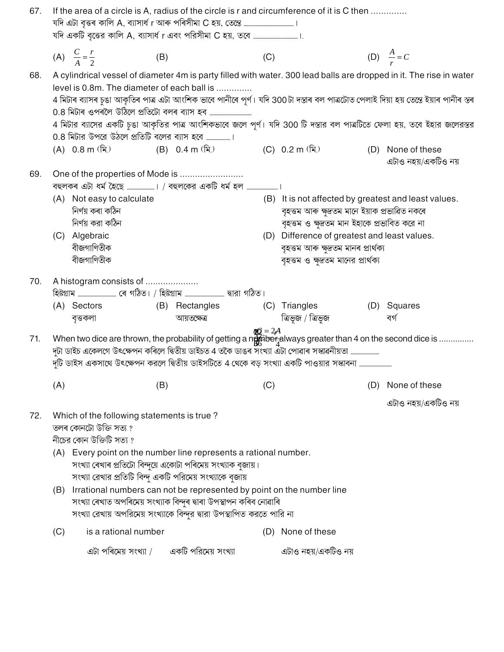| 67. | If the area of a circle is A, radius of the circle is r and circumference of it is C then                                                                                                    |                                                                                                  |     |                                                                                                                                                |                             |                                                                                                                                                         |     |                                                                                                                                                                                                                                                                                                                                                                                     |  |  |
|-----|----------------------------------------------------------------------------------------------------------------------------------------------------------------------------------------------|--------------------------------------------------------------------------------------------------|-----|------------------------------------------------------------------------------------------------------------------------------------------------|-----------------------------|---------------------------------------------------------------------------------------------------------------------------------------------------------|-----|-------------------------------------------------------------------------------------------------------------------------------------------------------------------------------------------------------------------------------------------------------------------------------------------------------------------------------------------------------------------------------------|--|--|
|     |                                                                                                                                                                                              | (A) $\frac{C}{4} = \frac{r}{2}$                                                                  | (B) |                                                                                                                                                | (C)                         |                                                                                                                                                         |     | (D) $\frac{A}{r} = C$                                                                                                                                                                                                                                                                                                                                                               |  |  |
| 68. |                                                                                                                                                                                              | level is 0.8m. The diameter of each ball is                                                      |     | 0.8 মিটাৰ ওপৰলৈ উঠিলে প্ৰতিটো বলৰ ব্যাস হব ………………………………                                                                                        |                             |                                                                                                                                                         |     | A cylindrical vessel of diameter 4m is party filled with water. 300 lead balls are dropped in it. The rise in water<br>4 মিটাৰ ব্যাসৰ চুঙা আকৃতিৰ পাত্ৰ এটা আংশিক ভাবে পানীৰে পূৰ্ণ। যদি 300টা দস্তাৰ বল পাত্ৰটোত পেলাই দিয়া হয় তেন্তে ইয়াৰ পানীৰ স্তৰ<br>4 মিটার ব্যাসের একটি চুঙা আকৃতির পাত্র আংশিকভাবে জলে পূর্ণ। যদি 300 টি দস্তার বল পাত্রটিতে ফেলা হয়, তবে ইহার জলেরস্তর |  |  |
|     |                                                                                                                                                                                              | 0.8 মিটার উপরে উঠলে প্রতিটি বলের ব্যাস হবে ।                                                     |     |                                                                                                                                                |                             |                                                                                                                                                         |     |                                                                                                                                                                                                                                                                                                                                                                                     |  |  |
|     |                                                                                                                                                                                              | (A) 0.8 m (মি.)                                                                                  |     | (B) 0.4 m (মি.) (C) 0.2 m (মি.)                                                                                                                |                             |                                                                                                                                                         |     | (D) None of these<br>এটাও নহয়/একটিও নয়                                                                                                                                                                                                                                                                                                                                            |  |  |
| 69. |                                                                                                                                                                                              | One of the properties of Mode is                                                                 |     |                                                                                                                                                |                             |                                                                                                                                                         |     |                                                                                                                                                                                                                                                                                                                                                                                     |  |  |
|     |                                                                                                                                                                                              |                                                                                                  |     | বহুলকৰ এটা ধর্ম হৈছে । / বহুলকের একটি ধর্ম হল                                                                                                  |                             |                                                                                                                                                         |     |                                                                                                                                                                                                                                                                                                                                                                                     |  |  |
|     | (A) Not easy to calculate<br>নিৰ্ণয় কৰা কঠিন<br>নিৰ্ণয় করা কঠিন                                                                                                                            |                                                                                                  |     |                                                                                                                                                |                             | (B) It is not affected by greatest and least values.<br>বৃহত্তম আৰু ক্ষুদ্ৰতম মানে ইয়াক প্ৰভাৱিত নকৰে<br>বৃহত্তম ও ক্ষুদ্রতম মান ইহাকে প্রভাবিত করে না |     |                                                                                                                                                                                                                                                                                                                                                                                     |  |  |
|     | (C) Algebraic<br>বীজগাণিতীক<br>বীজগাণিতীক                                                                                                                                                    |                                                                                                  |     |                                                                                                                                                |                             |                                                                                                                                                         |     | (D) Difference of greatest and least values.<br>বৃহত্তম আৰু ক্ষুদ্ৰতম মানৰ প্ৰাৰ্থক্য                                                                                                                                                                                                                                                                                               |  |  |
|     |                                                                                                                                                                                              |                                                                                                  |     |                                                                                                                                                |                             | বৃহত্তম ও ক্ষুদ্রতম মানের প্রার্থক্য                                                                                                                    |     |                                                                                                                                                                                                                                                                                                                                                                                     |  |  |
| 70. |                                                                                                                                                                                              | A histogram consists of                                                                          |     |                                                                                                                                                |                             |                                                                                                                                                         |     |                                                                                                                                                                                                                                                                                                                                                                                     |  |  |
|     |                                                                                                                                                                                              | (A) Sectors                                                                                      |     | (B) Rectangles                                                                                                                                 |                             | (C) Triangles                                                                                                                                           |     | (D) Squares                                                                                                                                                                                                                                                                                                                                                                         |  |  |
|     |                                                                                                                                                                                              | বৃত্তকলা                                                                                         |     | আয়তক্ষেত্ৰ                                                                                                                                    |                             | ত্ৰিভূজ / ত্ৰিভূজ                                                                                                                                       |     | বৰ্গ                                                                                                                                                                                                                                                                                                                                                                                |  |  |
| 71. |                                                                                                                                                                                              |                                                                                                  |     | দুটা ডাইচ একেলগে উৎক্ষেপন কৰিলে দ্বিতীয় ডাইচত 4 তকৈ ডাঙৰ সংখ্যা এটা পোৱাৰ সস্কাৱনীয়তা ……………………                                               | $\mathbb{R}Q = 2\mathbb{A}$ |                                                                                                                                                         |     | When two dice are thrown, the probability of getting a ngo ber always greater than 4 on the second dice is                                                                                                                                                                                                                                                                          |  |  |
|     |                                                                                                                                                                                              |                                                                                                  |     | দৃটি ডাইস একসাথে উৎক্ষেপন করলে দ্বিতীয় ডাইসটিতে 4 থেকে বড় সংখ্যা একটি পাওয়ার সস্কাবনা                                                       |                             |                                                                                                                                                         |     |                                                                                                                                                                                                                                                                                                                                                                                     |  |  |
|     |                                                                                                                                                                                              |                                                                                                  |     |                                                                                                                                                |                             |                                                                                                                                                         |     |                                                                                                                                                                                                                                                                                                                                                                                     |  |  |
|     | (A)                                                                                                                                                                                          |                                                                                                  | (B) |                                                                                                                                                | (C)                         |                                                                                                                                                         | (D) | None of these                                                                                                                                                                                                                                                                                                                                                                       |  |  |
|     |                                                                                                                                                                                              |                                                                                                  |     |                                                                                                                                                |                             |                                                                                                                                                         |     | এটাও নহয়/একটিও নয়                                                                                                                                                                                                                                                                                                                                                                 |  |  |
| 72. |                                                                                                                                                                                              | Which of the following statements is true?<br>তলৰ কোনটো উক্তি সত্য ?<br>নীচের কোন উক্তিটি সত্য ? |     |                                                                                                                                                |                             |                                                                                                                                                         |     |                                                                                                                                                                                                                                                                                                                                                                                     |  |  |
|     |                                                                                                                                                                                              |                                                                                                  |     |                                                                                                                                                |                             |                                                                                                                                                         |     |                                                                                                                                                                                                                                                                                                                                                                                     |  |  |
|     | (A) Every point on the number line represents a rational number.<br>সংখ্যা ৰেখাৰ প্ৰতিটো বিন্দুয়ে একোটা পৰিমেয় সংখ্যাক বুজায়।<br>সংখ্যা রেখার প্রতিটি বিন্দু একটি পরিমেয় সংখ্যাকে বুজায় |                                                                                                  |     |                                                                                                                                                |                             |                                                                                                                                                         |     |                                                                                                                                                                                                                                                                                                                                                                                     |  |  |
|     |                                                                                                                                                                                              |                                                                                                  |     | (B) Irrational numbers can not be represented by point on the number line<br>সংখ্যা ৰেখাত অপৰিমেয় সংখ্যাক বিন্দুৰ দ্বাৰা উপস্থাপন কৰিব নোৱাৰি |                             |                                                                                                                                                         |     |                                                                                                                                                                                                                                                                                                                                                                                     |  |  |
|     |                                                                                                                                                                                              |                                                                                                  |     | সংখ্যা রেখায় অপরিমেয় সংখ্যাকে বিন্দুর দ্বারা উপস্থাপিত করতে পারি না                                                                          |                             |                                                                                                                                                         |     |                                                                                                                                                                                                                                                                                                                                                                                     |  |  |
|     | (C)                                                                                                                                                                                          | is a rational number                                                                             |     |                                                                                                                                                | (D)                         | None of these                                                                                                                                           |     |                                                                                                                                                                                                                                                                                                                                                                                     |  |  |
|     |                                                                                                                                                                                              | এটা পৰিমেয় সংখ্যা /                                                                             |     | একটি পরিমেয় সংখ্যা                                                                                                                            |                             | এটাও নহয়/একটিও নয়                                                                                                                                     |     |                                                                                                                                                                                                                                                                                                                                                                                     |  |  |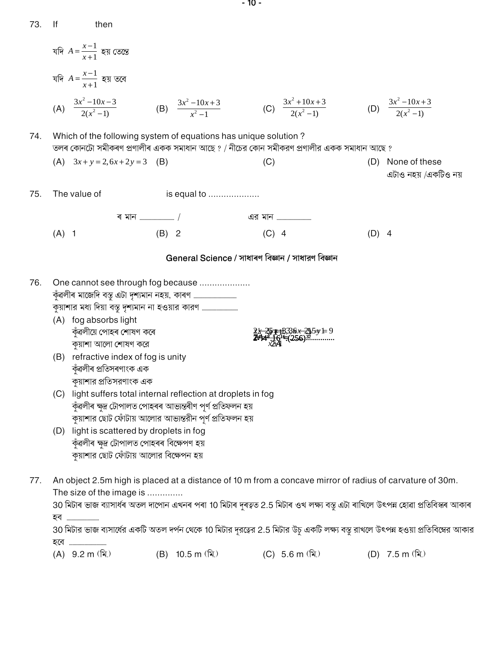| 73. | lf      | then                                                                                                                                                                                                                                                                                                                                                                                                                                                                                                |         |                                 |         |                                                                                                                                                                                      |         |                                                                                                                                    |
|-----|---------|-----------------------------------------------------------------------------------------------------------------------------------------------------------------------------------------------------------------------------------------------------------------------------------------------------------------------------------------------------------------------------------------------------------------------------------------------------------------------------------------------------|---------|---------------------------------|---------|--------------------------------------------------------------------------------------------------------------------------------------------------------------------------------------|---------|------------------------------------------------------------------------------------------------------------------------------------|
|     |         | যদি $A = \frac{x-1}{x+1}$ হয় তেন্তে                                                                                                                                                                                                                                                                                                                                                                                                                                                                |         |                                 |         |                                                                                                                                                                                      |         |                                                                                                                                    |
|     |         | যদি $A=\frac{x-1}{x+1}$ হয় তবে                                                                                                                                                                                                                                                                                                                                                                                                                                                                     |         |                                 |         |                                                                                                                                                                                      |         |                                                                                                                                    |
|     |         | (A) $\frac{3x^2-10x-3}{2(x^2-1)}$ (B) $\frac{3x^2-10x+3}{x^2-1}$                                                                                                                                                                                                                                                                                                                                                                                                                                    |         |                                 |         | (C) $\frac{3x^2 + 10x + 3}{2(x^2 - 1)}$                                                                                                                                              |         | (D) $\frac{3x^2-10x+3}{2(x^2-1)}$                                                                                                  |
| 74. |         | Which of the following system of equations has unique solution?<br>তলৰ কোনটো সমীকৰণ প্ৰণালীৰ একক সমাধান আছে ? / নীচের কোন সমীকরণ প্ৰণালীর একক সমাধান আছে ?                                                                                                                                                                                                                                                                                                                                          |         |                                 |         |                                                                                                                                                                                      |         |                                                                                                                                    |
|     |         | (A) $3x + y = 2, 6x + 2y = 3$ (B)                                                                                                                                                                                                                                                                                                                                                                                                                                                                   |         |                                 | (C)     |                                                                                                                                                                                      | (D)     | None of these<br>এটাও নহয় /একটিও নয়                                                                                              |
| 75. |         | The value of                                                                                                                                                                                                                                                                                                                                                                                                                                                                                        |         | is equal to                     |         |                                                                                                                                                                                      |         |                                                                                                                                    |
|     |         |                                                                                                                                                                                                                                                                                                                                                                                                                                                                                                     |         |                                 |         | <u>এর মান </u>                                                                                                                                                                       |         |                                                                                                                                    |
|     | $(A)$ 1 |                                                                                                                                                                                                                                                                                                                                                                                                                                                                                                     | $(B)$ 2 |                                 | $(C)$ 4 |                                                                                                                                                                                      | $(D)$ 4 |                                                                                                                                    |
|     |         |                                                                                                                                                                                                                                                                                                                                                                                                                                                                                                     |         |                                 |         | General Science / সাধাৰণ বিজ্ঞান / সাধারণ বিজ্ঞান                                                                                                                                    |         |                                                                                                                                    |
| 76. | (C)     | One cannot see through fog because<br>কুয়াশার মধ্য দিয়া বস্তু দৃশ্যমান না হওয়ার কারণ<br>(A) fog absorbs light<br>কুঁৱলীয়ে পোহৰ শোষণ কৰে<br>কুয়াশা আলো শোষণ করে<br>(B) refractive index of fog is unity<br>কুঁৱলীৰ প্ৰতিসৰণাংক এক<br>কয়াশার প্রতিসরণাংক এক<br>light suffers total internal reflection at droplets in fog<br>কুঁৱলীৰ ক্ষুদ্ৰ টোপালত পোহৰৰ আভ্যন্তৰীণ পূৰ্ণ প্ৰতিফলন হয়<br>কুয়াশার ছোট ফোঁটায় আলোর আভ্যন্তরীন পূর্ণ প্রতিফলন হয়<br>(D) light is scattered by droplets in fog |         |                                 |         | $2\frac{1}{2}\frac{25}{4}$ $\frac{43}{16}$ $\frac{1}{2}\frac{6}{6}$ $\frac{21}{29}$ $\frac{1}{2}\frac{43}{16}$ $\frac{1}{2}\frac{6}{16}$ $\frac{256}{120}$ $\frac{32}{120}$ $\cdots$ |         |                                                                                                                                    |
|     |         | কুঁৱলীৰ ক্ষুদ্ৰ টোপালত পোহৰৰ বিক্ষেপণ হয়<br>কুয়াশার ছোট ফোঁটায় আলোর বিক্ষেপন হয়                                                                                                                                                                                                                                                                                                                                                                                                                 |         |                                 |         |                                                                                                                                                                                      |         |                                                                                                                                    |
| 77. |         | An object 2.5m high is placed at a distance of 10 m from a concave mirror of radius of carvature of 30m.<br>The size of the image is<br>হব <u></u>                                                                                                                                                                                                                                                                                                                                                  |         |                                 |         |                                                                                                                                                                                      |         | 30 মিটাৰ ভাজ ব্যাসাৰ্ধৰ অতল দাপোন এখনৰ পৰা 10 মিটাৰ দুৰত্বত 2.5 মিটাৰ ওখ লক্ষ্য বস্তু এটা ৰাখিলে উৎপন্ন হোৱা প্ৰতিবিস্কৰ আকাৰ      |
|     |         | হবে                                                                                                                                                                                                                                                                                                                                                                                                                                                                                                 |         |                                 |         |                                                                                                                                                                                      |         | 30 মিটার ভাজ ব্যসার্ধের একটি অতল দর্পন থেকে 10 মিটার দূরত্বের 2.5 মিটার উচু একটি লক্ষ্য বস্তু রাখলে উৎপন্ন হওয়া প্রতিবিম্বের আকার |
|     |         | $(A)$ 9.2 m $(\hat{\mathbf{a}})$                                                                                                                                                                                                                                                                                                                                                                                                                                                                    |         | (B) 10.5 m $(\hat{\mathbf{a}})$ |         | (C) 5.6 m $(\hat{\mathbb{R}})$                                                                                                                                                       |         | (D) 7.5 m $(\hat{\mathbb{R}})$                                                                                                     |

 $-10-$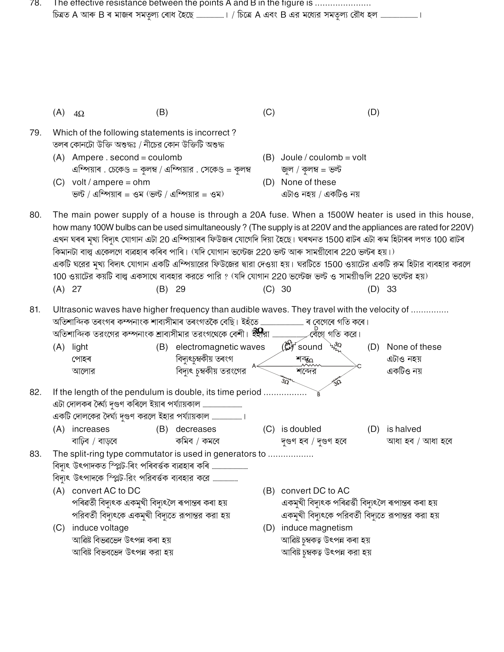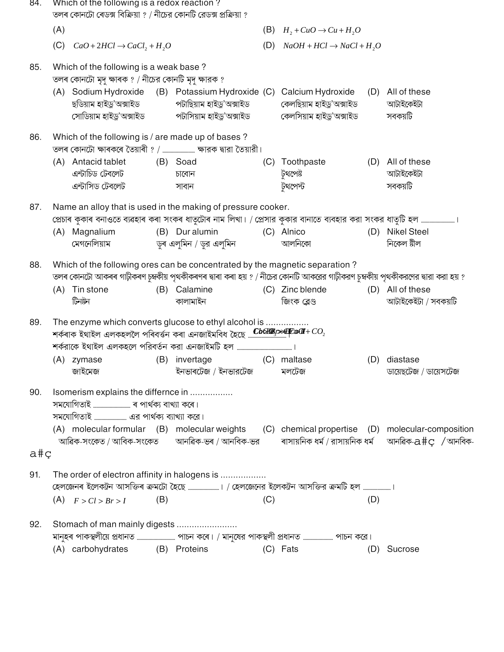| 84. | Which of the following is a redox reaction?<br>তলৰ কোনটো ৰেডক্স বিক্ৰিয়া ? / নীচের কোনটি রেডক্স প্রক্রিয়া ?                                                                                                                              |          |                                                                                               |     |                                                                                                       |     |                                                                                                                            |
|-----|--------------------------------------------------------------------------------------------------------------------------------------------------------------------------------------------------------------------------------------------|----------|-----------------------------------------------------------------------------------------------|-----|-------------------------------------------------------------------------------------------------------|-----|----------------------------------------------------------------------------------------------------------------------------|
|     | (A)                                                                                                                                                                                                                                        |          |                                                                                               |     | (B) $H_2 + CuO \rightarrow Cu + H_2O$                                                                 |     |                                                                                                                            |
|     | (C)<br>$CaO + 2HCl \rightarrow CaCl_2 + H_2O$                                                                                                                                                                                              |          |                                                                                               | (D) | $NaOH + HCl \rightarrow NaCl + H2O$                                                                   |     |                                                                                                                            |
| 85. | Which of the following is a weak base?                                                                                                                                                                                                     |          |                                                                                               |     |                                                                                                       |     |                                                                                                                            |
|     | তলৰ কোনটো মৃদু ক্ষাৰক ? / নীচের কোনটি মৃদু ক্ষারক ?<br>(A) Sodium Hydroxide<br>ছডিয়াম হাইড্ৰ'অক্সাইড                                                                                                                                      |          | পটাছিয়াম হাইড্ৰ'অক্সাইড<br>সোডিয়াম হাইড্ৰ'অক্সাইড                  পটাসিয়াম হাইড্ৰ'অক্সাইড |     | (B) Potassium Hydroxide (C) Calcium Hydroxide<br>কেলছিয়াম হাইড্ৰ'অক্সাইড<br>কেলসিয়াম হাইড্ৰ'অক্সাইড | (D) | All of these<br>আটাইকেইটা<br>সবকয়টি                                                                                       |
| 86. | Which of the following is / are made up of bases ?                                                                                                                                                                                         |          |                                                                                               |     |                                                                                                       |     |                                                                                                                            |
|     | (A) Antacid tablet<br>এন্টাচিড টেবলেট<br>এন্টাসিড টেবলেট                                                                                                                                                                                   | (B) Soad | চাবোন<br>সাবান                                                                                | (C) | Toothpaste<br>টুথপেষ্ট<br>টথপেস্ট                                                                     | (D) | All of these<br>আটাইকেইটা<br>সবকয়টি                                                                                       |
| 87. | Name an alloy that is used in the making of pressure cooker.                                                                                                                                                                               |          |                                                                                               |     |                                                                                                       |     |                                                                                                                            |
|     | প্ৰেচাৰ কুকাৰ বনাওতে ব্যৱহাৰ কৰা সংকৰ ধাতুটোৰ নাম লিখা। / প্ৰেসার কুকার বানাতে ব্যবহার করা সংকর ধাতুটি হল …………………………<br>(A) Magnalium<br>মেগনেলিয়াম                                                                                       |          | (B) Dur alumin<br>ডুৰ এলুমিন / ডুর এলুমিন                                                     |     | (C) Alnico<br>আলনিকো                                                                                  |     | (D) Nikel Steel<br>নিকেল ষ্টীল                                                                                             |
| 88. | Which of the following ores can be concentrated by the magnetic separation?<br>তলৰ কোনটো আকৰৰ গাঢ়ীকৰণ চুম্বকীয় পৃথকীকৰণৰ দ্বাৰা কৰা হয় ? / নীচের কোনটি আকরের গাঢ়ীকরণ চুম্বকীয় পৃথকীকরণের দ্বারা করা হয় ?<br>(A) Tin stone<br>টিনষ্টন |          | (B) Calamine<br>কালামাইন                                                                      |     | (C) Zinc blende<br>জিংক ব্লেণ্ড                                                                       |     | (D) All of these<br>আটাইকেইটা / সবকয়টি                                                                                    |
| 89. | The enzyme which converts glucose to ethyl alcohol is                                                                                                                                                                                      |          |                                                                                               |     |                                                                                                       |     |                                                                                                                            |
|     | (A) zymase<br>জাইমেজ                                                                                                                                                                                                                       |          | (B) invertage<br>ইনভাৰটেজ / ইনভারটেজ                                                          |     | (C) maltase<br>মলটেজ                                                                                  | (D) | diastase<br>ডায়েছটেজ / ডায়েসটেজ                                                                                          |
| 90. | Isomerism explains the differnce in<br>(A) molecular formular (B) molecular weights (C) chemical propertise (D) molecular-composition                                                                                                      |          |                                                                                               |     |                                                                                                       |     |                                                                                                                            |
| a#ç |                                                                                                                                                                                                                                            |          |                                                                                               |     |                                                                                                       |     | আৱিক-সংকেত / আবিক-সংকেত       আনৱিক-ভৰ / আনবিক-ভর         ৰাসায়নিক ধর্ম / রাসায়নিক ধর্ম     আনৱিক- $\alpha\#$ ্ / আনবিক- |
| 91. | The order of electron affinity in halogens is                                                                                                                                                                                              |          |                                                                                               |     |                                                                                                       |     |                                                                                                                            |
|     | $(A)$ $F > Cl > Br > I$                                                                                                                                                                                                                    | (B)      |                                                                                               | (C) |                                                                                                       | (D) |                                                                                                                            |
| 92. | Stomach of man mainly digests<br>(A) carbohydrates                                                                                                                                                                                         |          | (B) Proteins                                                                                  |     | (C) Fats                                                                                              |     | (D) Sucrose                                                                                                                |
|     |                                                                                                                                                                                                                                            |          |                                                                                               |     |                                                                                                       |     |                                                                                                                            |